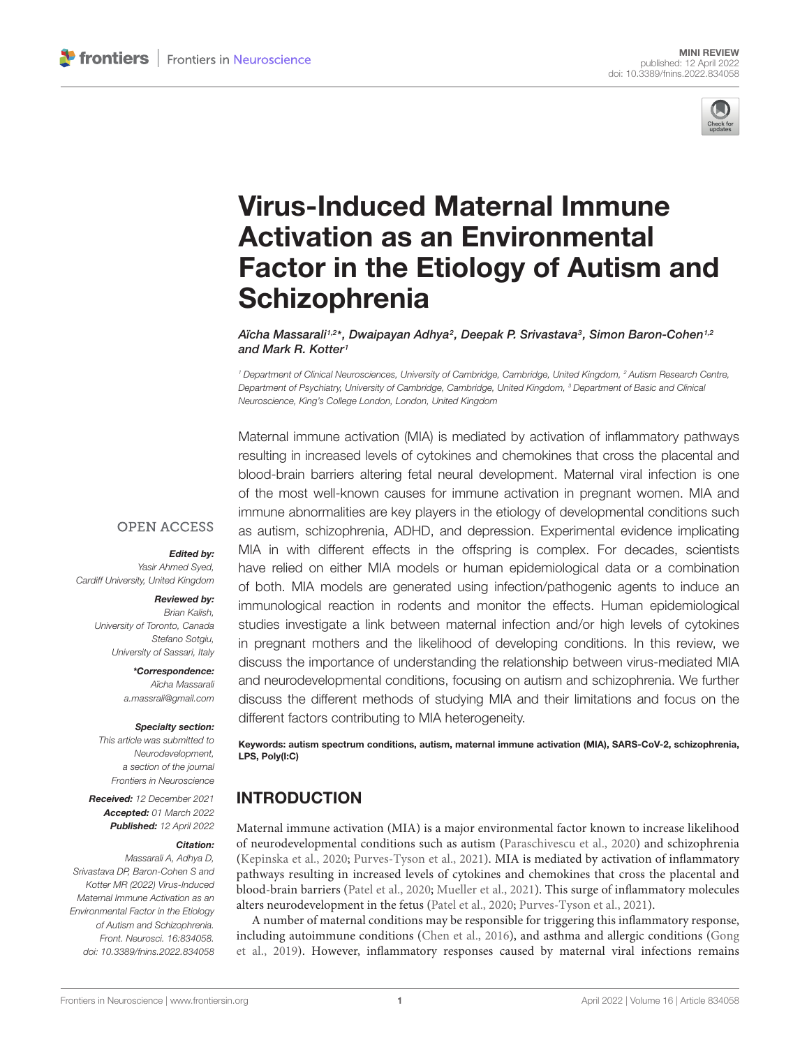

# Virus-Induced Maternal Immune Activation as an Environmental [Factor in the Etiology of Autism and](https://www.frontiersin.org/articles/10.3389/fnins.2022.834058/full) **Schizophrenia**

Aïcha Massarali1,2\*, Dwaipayan Adhya<sup>2</sup>, Deepak P. Srivastava<sup>3</sup>, Simon Baron-Cohen1,2 and Mark R. Kotter<sup>1</sup>

<sup>1</sup> Department of Clinical Neurosciences, University of Cambridge, Cambridge, United Kingdom, <sup>2</sup> Autism Research Centre, Department of Psychiatry, University of Cambridge, Cambridge, United Kingdom, <sup>3</sup> Department of Basic and Clinical Neuroscience, King's College London, London, United Kingdom

Maternal immune activation (MIA) is mediated by activation of inflammatory pathways resulting in increased levels of cytokines and chemokines that cross the placental and blood-brain barriers altering fetal neural development. Maternal viral infection is one of the most well-known causes for immune activation in pregnant women. MIA and immune abnormalities are key players in the etiology of developmental conditions such as autism, schizophrenia, ADHD, and depression. Experimental evidence implicating MIA in with different effects in the offspring is complex. For decades, scientists have relied on either MIA models or human epidemiological data or a combination of both. MIA models are generated using infection/pathogenic agents to induce an immunological reaction in rodents and monitor the effects. Human epidemiological studies investigate a link between maternal infection and/or high levels of cytokines in pregnant mothers and the likelihood of developing conditions. In this review, we discuss the importance of understanding the relationship between virus-mediated MIA and neurodevelopmental conditions, focusing on autism and schizophrenia. We further discuss the different methods of studying MIA and their limitations and focus on the different factors contributing to MIA heterogeneity.

Keywords: autism spectrum conditions, autism, maternal immune activation (MIA), SARS-CoV-2, schizophrenia, LPS, Poly(I:C)

## INTRODUCTION

Maternal immune activation (MIA) is a major environmental factor known to increase likelihood of neurodevelopmental conditions such as autism [\(Paraschivescu et al.,](#page-6-0) [2020\)](#page-6-0) and schizophrenia [\(Kepinska et al.,](#page-5-0) [2020;](#page-5-0) [Purves-Tyson et al.,](#page-6-1) [2021\)](#page-6-1). MIA is mediated by activation of inflammatory pathways resulting in increased levels of cytokines and chemokines that cross the placental and blood-brain barriers [\(Patel et al.,](#page-6-2) [2020;](#page-6-2) [Mueller et al.,](#page-6-3) [2021\)](#page-6-3). This surge of inflammatory molecules alters neurodevelopment in the fetus [\(Patel et al.,](#page-6-2) [2020;](#page-6-2) [Purves-Tyson et al.,](#page-6-1) [2021\)](#page-6-1).

A number of maternal conditions may be responsible for triggering this inflammatory response, including autoimmune conditions [\(Chen et al.,](#page-4-0) [2016\)](#page-4-0), and asthma and allergic conditions [\(Gong](#page-5-1) [et al.,](#page-5-1) [2019\)](#page-5-1). However, inflammatory responses caused by maternal viral infections remains

#### **OPEN ACCESS**

Edited by:

Yasir Ahmed Syed, Cardiff University, United Kingdom

#### Reviewed by:

Brian Kalish, University of Toronto, Canada Stefano Sotgiu, University of Sassari, Italy

> \*Correspondence: Aïcha Massarali [a.massrali@gmail.com](mailto:a.massrali@gmail.com)

#### Specialty section:

This article was submitted to Neurodevelopment, a section of the journal Frontiers in Neuroscience

Received: 12 December 2021 Accepted: 01 March 2022 Published: 12 April 2022

#### Citation:

Massarali A, Adhya D, Srivastava DP, Baron-Cohen S and Kotter MR (2022) Virus-Induced Maternal Immune Activation as an Environmental Factor in the Etiology of Autism and Schizophrenia. Front. Neurosci. 16:834058. doi: [10.3389/fnins.2022.834058](https://doi.org/10.3389/fnins.2022.834058)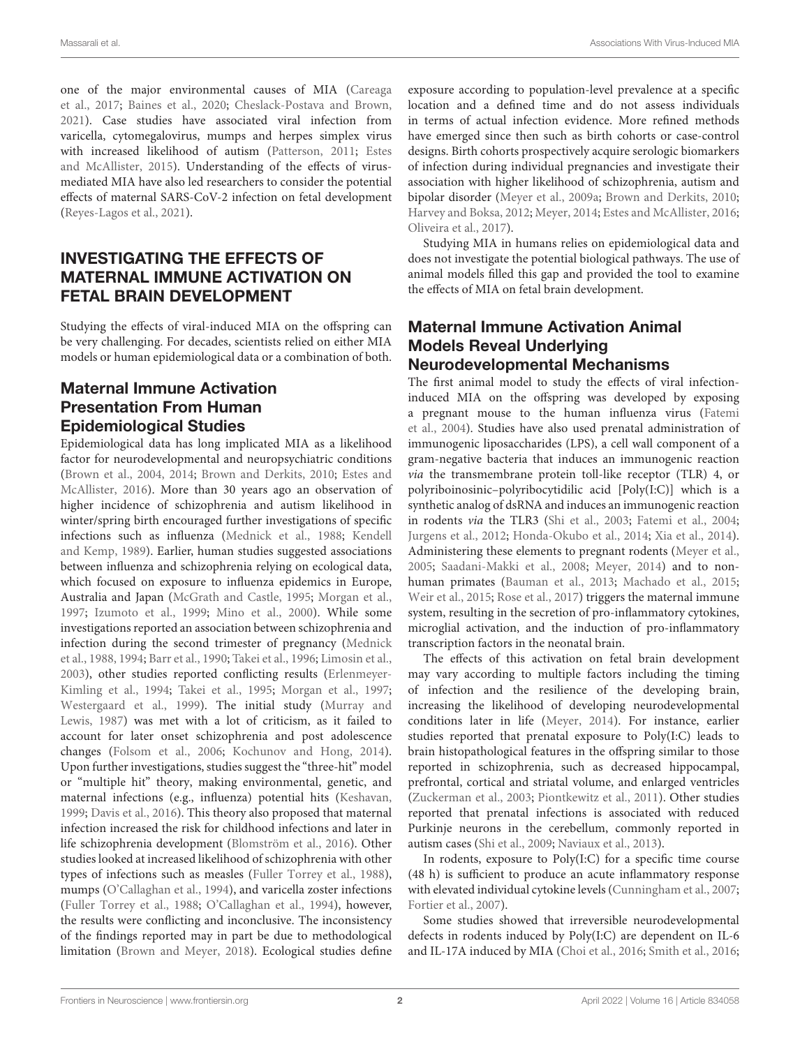one of the major environmental causes of MIA [\(Careaga](#page-4-1) [et al.,](#page-4-1) [2017;](#page-4-1) [Baines et al.,](#page-4-2) [2020;](#page-4-2) [Cheslack-Postava and Brown,](#page-4-3) [2021\)](#page-4-3). Case studies have associated viral infection from varicella, cytomegalovirus, mumps and herpes simplex virus with increased likelihood of autism [\(Patterson,](#page-6-4) [2011;](#page-6-4) [Estes](#page-5-2) [and McAllister,](#page-5-2) [2015\)](#page-5-2). Understanding of the effects of virusmediated MIA have also led researchers to consider the potential effects of maternal SARS-CoV-2 infection on fetal development [\(Reyes-Lagos et al.,](#page-6-5) [2021\)](#page-6-5).

# INVESTIGATING THE EFFECTS OF MATERNAL IMMUNE ACTIVATION ON FETAL BRAIN DEVELOPMENT

Studying the effects of viral-induced MIA on the offspring can be very challenging. For decades, scientists relied on either MIA models or human epidemiological data or a combination of both.

## Maternal Immune Activation Presentation From Human Epidemiological Studies

Epidemiological data has long implicated MIA as a likelihood factor for neurodevelopmental and neuropsychiatric conditions [\(Brown et al.,](#page-4-4) [2004,](#page-4-4) [2014;](#page-4-5) [Brown and Derkits,](#page-4-6) [2010;](#page-4-6) [Estes and](#page-5-3) [McAllister,](#page-5-3) [2016\)](#page-5-3). More than 30 years ago an observation of higher incidence of schizophrenia and autism likelihood in winter/spring birth encouraged further investigations of specific infections such as influenza [\(Mednick et al.,](#page-5-4) [1988;](#page-5-4) [Kendell](#page-5-5) [and Kemp,](#page-5-5) [1989\)](#page-5-5). Earlier, human studies suggested associations between influenza and schizophrenia relying on ecological data, which focused on exposure to influenza epidemics in Europe, Australia and Japan [\(McGrath and Castle,](#page-5-6) [1995;](#page-5-6) [Morgan et al.,](#page-6-6) [1997;](#page-6-6) [Izumoto et al.,](#page-5-7) [1999;](#page-5-7) [Mino et al.,](#page-6-7) [2000\)](#page-6-7). While some investigations reported an association between schizophrenia and infection during the second trimester of pregnancy [\(Mednick](#page-5-4) [et al.,](#page-5-4) [1988,](#page-5-4) [1994;](#page-5-8) [Barr et al.,](#page-4-7) [1990;](#page-4-7) [Takei et al.,](#page-6-8) [1996;](#page-6-8) [Limosin et al.,](#page-5-9) [2003\)](#page-5-9), other studies reported conflicting results [\(Erlenmeyer-](#page-4-8)[Kimling et al.,](#page-4-8) [1994;](#page-4-8) [Takei et al.,](#page-6-9) [1995;](#page-6-9) [Morgan et al.,](#page-6-6) [1997;](#page-6-6) [Westergaard et al.,](#page-6-10) [1999\)](#page-6-10). The initial study [\(Murray and](#page-6-11) [Lewis,](#page-6-11) [1987\)](#page-6-11) was met with a lot of criticism, as it failed to account for later onset schizophrenia and post adolescence changes [\(Folsom et al.,](#page-5-10) [2006;](#page-5-10) [Kochunov and Hong,](#page-5-11) [2014\)](#page-5-11). Upon further investigations, studies suggest the "three-hit" model or "multiple hit" theory, making environmental, genetic, and maternal infections (e.g., influenza) potential hits [\(Keshavan,](#page-5-12) [1999;](#page-5-12) [Davis et al.,](#page-4-9) [2016\)](#page-4-9). This theory also proposed that maternal infection increased the risk for childhood infections and later in life schizophrenia development [\(Blomström et al.,](#page-4-10) [2016\)](#page-4-10). Other studies looked at increased likelihood of schizophrenia with other types of infections such as measles [\(Fuller Torrey et al.,](#page-5-13) [1988\)](#page-5-13), mumps [\(O'Callaghan et al.,](#page-6-12) [1994\)](#page-6-12), and varicella zoster infections [\(Fuller Torrey et al.,](#page-5-13) [1988;](#page-5-13) [O'Callaghan et al.,](#page-6-12) [1994\)](#page-6-12), however, the results were conflicting and inconclusive. The inconsistency of the findings reported may in part be due to methodological limitation [\(Brown and Meyer,](#page-4-11) [2018\)](#page-4-11). Ecological studies define

exposure according to population-level prevalence at a specific location and a defined time and do not assess individuals in terms of actual infection evidence. More refined methods have emerged since then such as birth cohorts or case-control designs. Birth cohorts prospectively acquire serologic biomarkers of infection during individual pregnancies and investigate their association with higher likelihood of schizophrenia, autism and bipolar disorder [\(Meyer et al.,](#page-5-14) [2009a;](#page-5-14) [Brown and Derkits,](#page-4-6) [2010;](#page-4-6) [Harvey and Boksa,](#page-5-15) [2012;](#page-5-15) [Meyer,](#page-5-16) [2014;](#page-5-16) [Estes and McAllister,](#page-5-3) [2016;](#page-5-3) [Oliveira et al.,](#page-6-13) [2017\)](#page-6-13).

Studying MIA in humans relies on epidemiological data and does not investigate the potential biological pathways. The use of animal models filled this gap and provided the tool to examine the effects of MIA on fetal brain development.

#### Maternal Immune Activation Animal Models Reveal Underlying Neurodevelopmental Mechanisms

The first animal model to study the effects of viral infectioninduced MIA on the offspring was developed by exposing a pregnant mouse to the human influenza virus [\(Fatemi](#page-5-17) [et al.,](#page-5-17) [2004\)](#page-5-17). Studies have also used prenatal administration of immunogenic liposaccharides (LPS), a cell wall component of a gram-negative bacteria that induces an immunogenic reaction via the transmembrane protein toll-like receptor (TLR) 4, or polyriboinosinic–polyribocytidilic acid [Poly(I:C)] which is a synthetic analog of dsRNA and induces an immunogenic reaction in rodents via the TLR3 [\(Shi et al.,](#page-6-14) [2003;](#page-6-14) [Fatemi et al.,](#page-5-17) [2004;](#page-5-17) [Jurgens et al.,](#page-5-18) [2012;](#page-5-18) [Honda-Okubo et al.,](#page-5-19) [2014;](#page-5-19) [Xia et al.,](#page-7-0) [2014\)](#page-7-0). Administering these elements to pregnant rodents [\(Meyer et al.,](#page-5-20) [2005;](#page-5-20) [Saadani-Makki et al.,](#page-6-15) [2008;](#page-6-15) [Meyer,](#page-5-16) [2014\)](#page-5-16) and to nonhuman primates [\(Bauman et al.,](#page-4-12) [2013;](#page-4-12) [Machado et al.,](#page-5-21) [2015;](#page-5-21) [Weir et al.,](#page-6-16) [2015;](#page-6-16) [Rose et al.,](#page-6-17) [2017\)](#page-6-17) triggers the maternal immune system, resulting in the secretion of pro-inflammatory cytokines, microglial activation, and the induction of pro-inflammatory transcription factors in the neonatal brain.

The effects of this activation on fetal brain development may vary according to multiple factors including the timing of infection and the resilience of the developing brain, increasing the likelihood of developing neurodevelopmental conditions later in life [\(Meyer,](#page-5-16) [2014\)](#page-5-16). For instance, earlier studies reported that prenatal exposure to Poly(I:C) leads to brain histopathological features in the offspring similar to those reported in schizophrenia, such as decreased hippocampal, prefrontal, cortical and striatal volume, and enlarged ventricles [\(Zuckerman et al.,](#page-7-1) [2003;](#page-7-1) [Piontkewitz et al.,](#page-6-18) [2011\)](#page-6-18). Other studies reported that prenatal infections is associated with reduced Purkinje neurons in the cerebellum, commonly reported in autism cases [\(Shi et al.,](#page-6-19) [2009;](#page-6-19) [Naviaux et al.,](#page-6-20) [2013\)](#page-6-20).

In rodents, exposure to Poly(I:C) for a specific time course (48 h) is sufficient to produce an acute inflammatory response with elevated individual cytokine levels [\(Cunningham et al.,](#page-4-13) [2007;](#page-4-13) [Fortier et al.,](#page-5-22) [2007\)](#page-5-22).

Some studies showed that irreversible neurodevelopmental defects in rodents induced by Poly(I:C) are dependent on IL-6 and IL-17A induced by MIA [\(Choi et al.,](#page-4-14) [2016;](#page-4-14) [Smith et al.,](#page-6-21) [2016;](#page-6-21)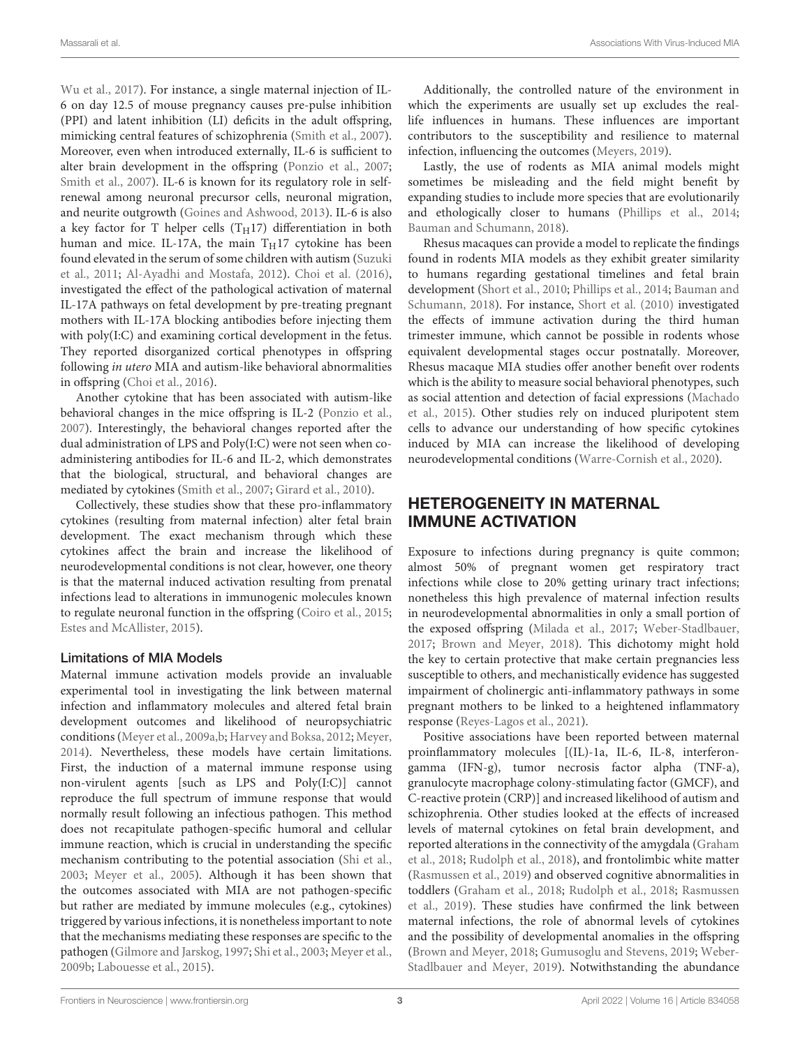[Wu et al.,](#page-7-2) [2017\)](#page-7-2). For instance, a single maternal injection of IL-6 on day 12.5 of mouse pregnancy causes pre-pulse inhibition (PPI) and latent inhibition (LI) deficits in the adult offspring, mimicking central features of schizophrenia [\(Smith et al.,](#page-6-22) [2007\)](#page-6-22). Moreover, even when introduced externally, IL-6 is sufficient to alter brain development in the offspring [\(Ponzio et al.,](#page-6-23) [2007;](#page-6-23) [Smith et al.,](#page-6-22) [2007\)](#page-6-22). IL-6 is known for its regulatory role in selfrenewal among neuronal precursor cells, neuronal migration, and neurite outgrowth [\(Goines and Ashwood,](#page-5-23) [2013\)](#page-5-23). IL-6 is also a key factor for T helper cells (T $_H17$ ) differentiation in both human and mice. IL-17A, the main  $T_H17$  cytokine has been found elevated in the serum of some children with autism [\(Suzuki](#page-6-24) [et al.,](#page-6-24) [2011;](#page-6-24) [Al-Ayadhi and Mostafa,](#page-4-15) [2012\)](#page-4-15). [Choi et al.](#page-4-14) [\(2016\)](#page-4-14), investigated the effect of the pathological activation of maternal IL-17A pathways on fetal development by pre-treating pregnant mothers with IL-17A blocking antibodies before injecting them with poly(I:C) and examining cortical development in the fetus. They reported disorganized cortical phenotypes in offspring following in utero MIA and autism-like behavioral abnormalities in offspring [\(Choi et al.,](#page-4-14) [2016\)](#page-4-14).

Another cytokine that has been associated with autism-like behavioral changes in the mice offspring is IL-2 [\(Ponzio et al.,](#page-6-23) [2007\)](#page-6-23). Interestingly, the behavioral changes reported after the dual administration of LPS and Poly(I:C) were not seen when coadministering antibodies for IL-6 and IL-2, which demonstrates that the biological, structural, and behavioral changes are mediated by cytokines [\(Smith et al.,](#page-6-22) [2007;](#page-6-22) [Girard et al.,](#page-5-24) [2010\)](#page-5-24).

Collectively, these studies show that these pro-inflammatory cytokines (resulting from maternal infection) alter fetal brain development. The exact mechanism through which these cytokines affect the brain and increase the likelihood of neurodevelopmental conditions is not clear, however, one theory is that the maternal induced activation resulting from prenatal infections lead to alterations in immunogenic molecules known to regulate neuronal function in the offspring [\(Coiro et al.,](#page-4-16) [2015;](#page-4-16) [Estes and McAllister,](#page-5-2) [2015\)](#page-5-2).

#### Limitations of MIA Models

Maternal immune activation models provide an invaluable experimental tool in investigating the link between maternal infection and inflammatory molecules and altered fetal brain development outcomes and likelihood of neuropsychiatric conditions [\(Meyer et al.,](#page-5-14) [2009a](#page-5-14)[,b;](#page-5-25) [Harvey and Boksa,](#page-5-15) [2012;](#page-5-15) [Meyer,](#page-5-16) [2014\)](#page-5-16). Nevertheless, these models have certain limitations. First, the induction of a maternal immune response using non-virulent agents [such as LPS and Poly(I:C)] cannot reproduce the full spectrum of immune response that would normally result following an infectious pathogen. This method does not recapitulate pathogen-specific humoral and cellular immune reaction, which is crucial in understanding the specific mechanism contributing to the potential association [\(Shi et al.,](#page-6-14) [2003;](#page-6-14) [Meyer et al.,](#page-5-20) [2005\)](#page-5-20). Although it has been shown that the outcomes associated with MIA are not pathogen-specific but rather are mediated by immune molecules (e.g., cytokines) triggered by various infections, it is nonetheless important to note that the mechanisms mediating these responses are specific to the pathogen [\(Gilmore and Jarskog,](#page-5-26) [1997;](#page-5-26) [Shi et al.,](#page-6-14) [2003;](#page-6-14) [Meyer et al.,](#page-5-25) [2009b;](#page-5-25) [Labouesse et al.,](#page-5-27) [2015\)](#page-5-27).

Additionally, the controlled nature of the environment in which the experiments are usually set up excludes the reallife influences in humans. These influences are important contributors to the susceptibility and resilience to maternal infection, influencing the outcomes [\(Meyers,](#page-6-25) [2019\)](#page-6-25).

Lastly, the use of rodents as MIA animal models might sometimes be misleading and the field might benefit by expanding studies to include more species that are evolutionarily and ethologically closer to humans [\(Phillips et al.,](#page-6-26) [2014;](#page-6-26) [Bauman and Schumann,](#page-4-17) [2018\)](#page-4-17).

Rhesus macaques can provide a model to replicate the findings found in rodents MIA models as they exhibit greater similarity to humans regarding gestational timelines and fetal brain development [\(Short et al.,](#page-6-27) [2010;](#page-6-27) [Phillips et al.,](#page-6-26) [2014;](#page-6-26) [Bauman and](#page-4-17) [Schumann,](#page-4-17) [2018\)](#page-4-17). For instance, [Short et al.](#page-6-27) [\(2010\)](#page-6-27) investigated the effects of immune activation during the third human trimester immune, which cannot be possible in rodents whose equivalent developmental stages occur postnatally. Moreover, Rhesus macaque MIA studies offer another benefit over rodents which is the ability to measure social behavioral phenotypes, such as social attention and detection of facial expressions [\(Machado](#page-5-21) [et al.,](#page-5-21) [2015\)](#page-5-21). Other studies rely on induced pluripotent stem cells to advance our understanding of how specific cytokines induced by MIA can increase the likelihood of developing neurodevelopmental conditions [\(Warre-Cornish et al.,](#page-6-28) [2020\)](#page-6-28).

#### HETEROGENEITY IN MATERNAL IMMUNE ACTIVATION

Exposure to infections during pregnancy is quite common; almost 50% of pregnant women get respiratory tract infections while close to 20% getting urinary tract infections; nonetheless this high prevalence of maternal infection results in neurodevelopmental abnormalities in only a small portion of the exposed offspring [\(Milada et al.,](#page-6-29) [2017;](#page-6-29) [Weber-Stadlbauer,](#page-6-30) [2017;](#page-6-30) [Brown and Meyer,](#page-4-11) [2018\)](#page-4-11). This dichotomy might hold the key to certain protective that make certain pregnancies less susceptible to others, and mechanistically evidence has suggested impairment of cholinergic anti-inflammatory pathways in some pregnant mothers to be linked to a heightened inflammatory response [\(Reyes-Lagos et al.,](#page-6-5) [2021\)](#page-6-5).

Positive associations have been reported between maternal proinflammatory molecules [(IL)-1a, IL-6, IL-8, interferongamma (IFN-g), tumor necrosis factor alpha (TNF-a), granulocyte macrophage colony-stimulating factor (GMCF), and C-reactive protein (CRP)] and increased likelihood of autism and schizophrenia. Other studies looked at the effects of increased levels of maternal cytokines on fetal brain development, and reported alterations in the connectivity of the amygdala [\(Graham](#page-5-28) [et al.,](#page-5-28) [2018;](#page-5-28) [Rudolph et al.,](#page-6-31) [2018\)](#page-6-31), and frontolimbic white matter [\(Rasmussen et al.,](#page-6-32) [2019\)](#page-6-32) and observed cognitive abnormalities in toddlers [\(Graham et al.,](#page-5-28) [2018;](#page-5-28) [Rudolph et al.,](#page-6-31) [2018;](#page-6-31) [Rasmussen](#page-6-32) [et al.,](#page-6-32) [2019\)](#page-6-32). These studies have confirmed the link between maternal infections, the role of abnormal levels of cytokines and the possibility of developmental anomalies in the offspring [\(Brown and Meyer,](#page-4-11) [2018;](#page-4-11) [Gumusoglu and Stevens,](#page-5-29) [2019;](#page-5-29) [Weber-](#page-6-33)[Stadlbauer and Meyer,](#page-6-33) [2019\)](#page-6-33). Notwithstanding the abundance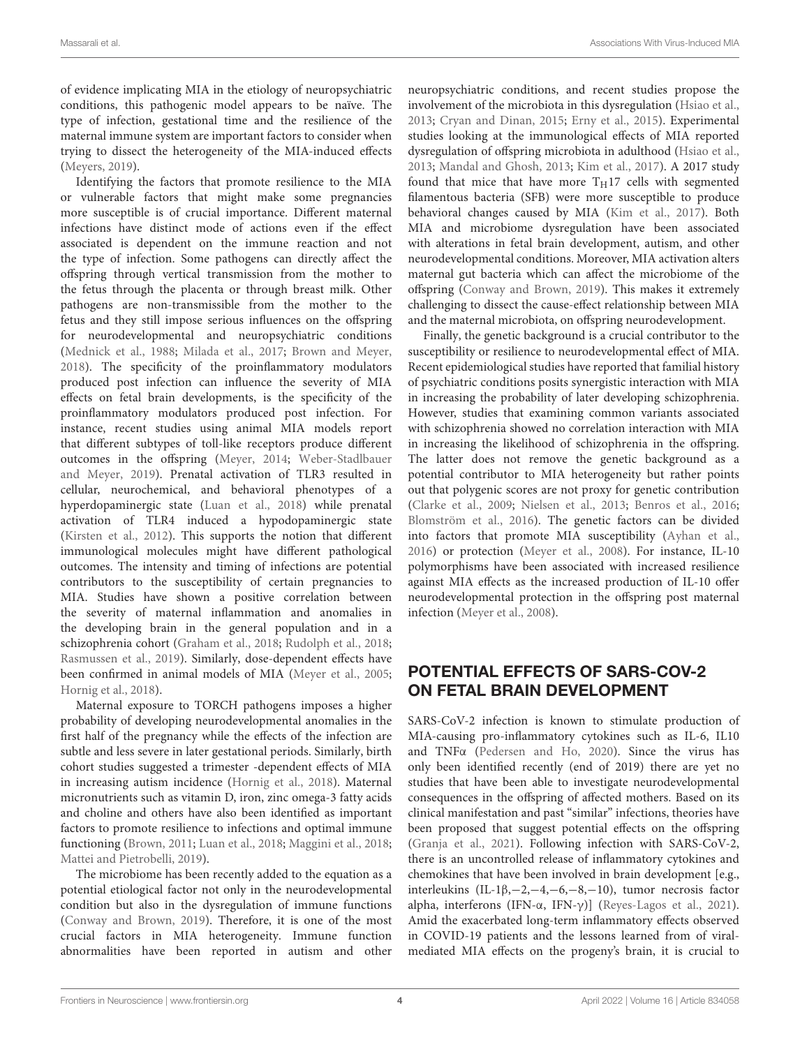of evidence implicating MIA in the etiology of neuropsychiatric conditions, this pathogenic model appears to be naïve. The type of infection, gestational time and the resilience of the maternal immune system are important factors to consider when trying to dissect the heterogeneity of the MIA-induced effects [\(Meyers,](#page-6-25) [2019\)](#page-6-25).

Identifying the factors that promote resilience to the MIA or vulnerable factors that might make some pregnancies more susceptible is of crucial importance. Different maternal infections have distinct mode of actions even if the effect associated is dependent on the immune reaction and not the type of infection. Some pathogens can directly affect the offspring through vertical transmission from the mother to the fetus through the placenta or through breast milk. Other pathogens are non-transmissible from the mother to the fetus and they still impose serious influences on the offspring for neurodevelopmental and neuropsychiatric conditions [\(Mednick et al.,](#page-5-4) [1988;](#page-5-4) [Milada et al.,](#page-6-29) [2017;](#page-6-29) [Brown and Meyer,](#page-4-11) [2018\)](#page-4-11). The specificity of the proinflammatory modulators produced post infection can influence the severity of MIA effects on fetal brain developments, is the specificity of the proinflammatory modulators produced post infection. For instance, recent studies using animal MIA models report that different subtypes of toll-like receptors produce different outcomes in the offspring [\(Meyer,](#page-5-16) [2014;](#page-5-16) [Weber-Stadlbauer](#page-6-33) [and Meyer,](#page-6-33) [2019\)](#page-6-33). Prenatal activation of TLR3 resulted in cellular, neurochemical, and behavioral phenotypes of a hyperdopaminergic state [\(Luan et al.,](#page-5-30) [2018\)](#page-5-30) while prenatal activation of TLR4 induced a hypodopaminergic state [\(Kirsten et al.,](#page-5-31) [2012\)](#page-5-31). This supports the notion that different immunological molecules might have different pathological outcomes. The intensity and timing of infections are potential contributors to the susceptibility of certain pregnancies to MIA. Studies have shown a positive correlation between the severity of maternal inflammation and anomalies in the developing brain in the general population and in a schizophrenia cohort [\(Graham et al.,](#page-5-28) [2018;](#page-5-28) [Rudolph et al.,](#page-6-31) [2018;](#page-6-31) [Rasmussen et al.,](#page-6-32) [2019\)](#page-6-32). Similarly, dose-dependent effects have been confirmed in animal models of MIA [\(Meyer et al.,](#page-5-20) [2005;](#page-5-20) [Hornig et al.,](#page-5-32) [2018\)](#page-5-32).

Maternal exposure to TORCH pathogens imposes a higher probability of developing neurodevelopmental anomalies in the first half of the pregnancy while the effects of the infection are subtle and less severe in later gestational periods. Similarly, birth cohort studies suggested a trimester -dependent effects of MIA in increasing autism incidence [\(Hornig et al.,](#page-5-32) [2018\)](#page-5-32). Maternal micronutrients such as vitamin D, iron, zinc omega-3 fatty acids and choline and others have also been identified as important factors to promote resilience to infections and optimal immune functioning [\(Brown,](#page-4-18) [2011;](#page-4-18) [Luan et al.,](#page-5-30) [2018;](#page-5-30) [Maggini et al.,](#page-5-33) [2018;](#page-5-33) [Mattei and Pietrobelli,](#page-5-34) [2019\)](#page-5-34).

The microbiome has been recently added to the equation as a potential etiological factor not only in the neurodevelopmental condition but also in the dysregulation of immune functions [\(Conway and Brown,](#page-4-19) [2019\)](#page-4-19). Therefore, it is one of the most crucial factors in MIA heterogeneity. Immune function abnormalities have been reported in autism and other

neuropsychiatric conditions, and recent studies propose the involvement of the microbiota in this dysregulation [\(Hsiao et al.,](#page-5-35) [2013;](#page-5-35) [Cryan and Dinan,](#page-4-20) [2015;](#page-4-20) [Erny et al.,](#page-4-21) [2015\)](#page-4-21). Experimental studies looking at the immunological effects of MIA reported dysregulation of offspring microbiota in adulthood [\(Hsiao et al.,](#page-5-35) [2013;](#page-5-35) [Mandal and Ghosh,](#page-5-36) [2013;](#page-5-36) [Kim et al.,](#page-5-37) [2017\)](#page-5-37). A 2017 study found that mice that have more  $T_H17$  cells with segmented filamentous bacteria (SFB) were more susceptible to produce behavioral changes caused by MIA [\(Kim et al.,](#page-5-37) [2017\)](#page-5-37). Both MIA and microbiome dysregulation have been associated with alterations in fetal brain development, autism, and other neurodevelopmental conditions. Moreover, MIA activation alters maternal gut bacteria which can affect the microbiome of the offspring [\(Conway and Brown,](#page-4-19) [2019\)](#page-4-19). This makes it extremely challenging to dissect the cause-effect relationship between MIA and the maternal microbiota, on offspring neurodevelopment.

Finally, the genetic background is a crucial contributor to the susceptibility or resilience to neurodevelopmental effect of MIA. Recent epidemiological studies have reported that familial history of psychiatric conditions posits synergistic interaction with MIA in increasing the probability of later developing schizophrenia. However, studies that examining common variants associated with schizophrenia showed no correlation interaction with MIA in increasing the likelihood of schizophrenia in the offspring. The latter does not remove the genetic background as a potential contributor to MIA heterogeneity but rather points out that polygenic scores are not proxy for genetic contribution [\(Clarke et al.,](#page-4-22) [2009;](#page-4-22) [Nielsen et al.,](#page-6-34) [2013;](#page-6-34) [Benros et al.,](#page-4-23) [2016;](#page-4-23) [Blomström et al.,](#page-4-10) [2016\)](#page-4-10). The genetic factors can be divided into factors that promote MIA susceptibility [\(Ayhan et al.,](#page-4-24) [2016\)](#page-4-24) or protection [\(Meyer et al.,](#page-6-35) [2008\)](#page-6-35). For instance, IL-10 polymorphisms have been associated with increased resilience against MIA effects as the increased production of IL-10 offer neurodevelopmental protection in the offspring post maternal infection [\(Meyer et al.,](#page-6-35) [2008\)](#page-6-35).

## POTENTIAL EFFECTS OF SARS-COV-2 ON FETAL BRAIN DEVELOPMENT

SARS-CoV-2 infection is known to stimulate production of MIA-causing pro-inflammatory cytokines such as IL-6, IL10 and TNFα [\(Pedersen and Ho,](#page-6-36) [2020\)](#page-6-36). Since the virus has only been identified recently (end of 2019) there are yet no studies that have been able to investigate neurodevelopmental consequences in the offspring of affected mothers. Based on its clinical manifestation and past "similar" infections, theories have been proposed that suggest potential effects on the offspring [\(Granja et al.,](#page-5-38) [2021\)](#page-5-38). Following infection with SARS-CoV-2, there is an uncontrolled release of inflammatory cytokines and chemokines that have been involved in brain development [e.g., interleukins (IL-1β,−2,−4,−6,−8,−10), tumor necrosis factor alpha, interferons (IFN-α, IFN-γ)] [\(Reyes-Lagos et al.,](#page-6-5) [2021\)](#page-6-5). Amid the exacerbated long-term inflammatory effects observed in COVID-19 patients and the lessons learned from of viralmediated MIA effects on the progeny's brain, it is crucial to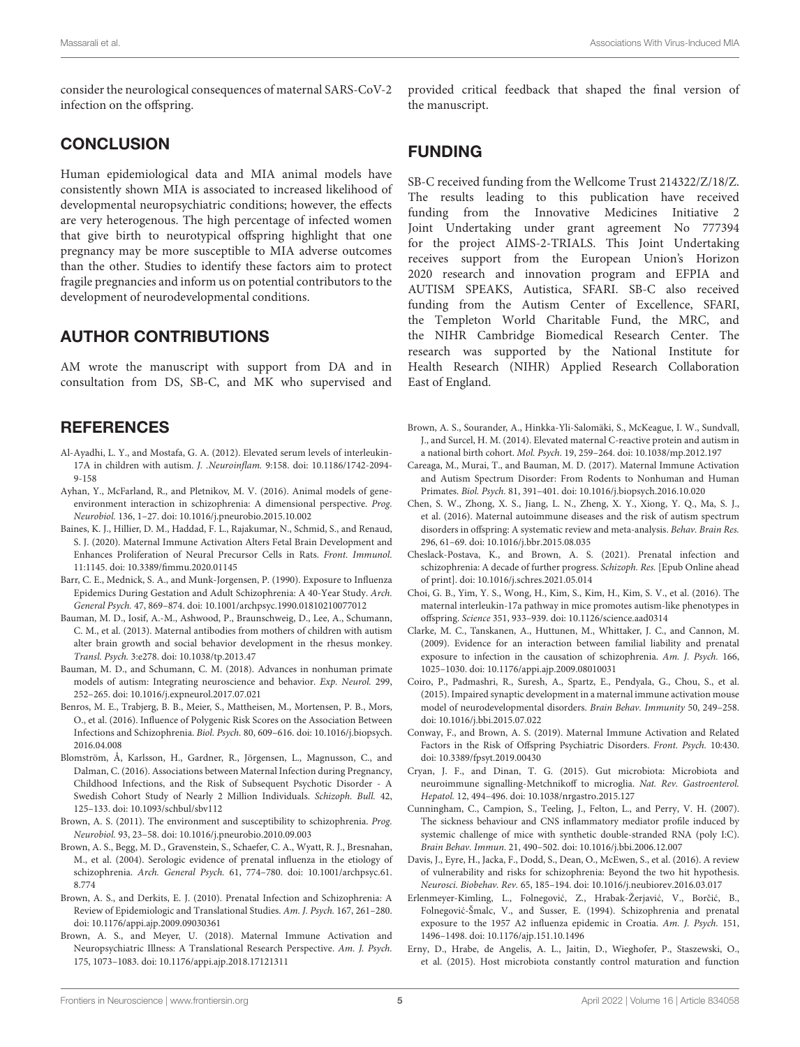consider the neurological consequences of maternal SARS-CoV-2 infection on the offspring.

#### **CONCLUSION**

Human epidemiological data and MIA animal models have consistently shown MIA is associated to increased likelihood of developmental neuropsychiatric conditions; however, the effects are very heterogenous. The high percentage of infected women that give birth to neurotypical offspring highlight that one pregnancy may be more susceptible to MIA adverse outcomes than the other. Studies to identify these factors aim to protect fragile pregnancies and inform us on potential contributors to the development of neurodevelopmental conditions.

#### AUTHOR CONTRIBUTIONS

AM wrote the manuscript with support from DA and in consultation from DS, SB-C, and MK who supervised and

## **REFERENCES**

- <span id="page-4-15"></span>Al-Ayadhi, L. Y., and Mostafa, G. A. (2012). Elevated serum levels of interleukin-17A in children with autism. J. .Neuroinflam. 9:158. [doi: 10.1186/1742-2094-](https://doi.org/10.1186/1742-2094-9-158) [9-158](https://doi.org/10.1186/1742-2094-9-158)
- <span id="page-4-24"></span>Ayhan, Y., McFarland, R., and Pletnikov, M. V. (2016). Animal models of geneenvironment interaction in schizophrenia: A dimensional perspective. Prog. Neurobiol. 136, 1–27. [doi: 10.1016/j.pneurobio.2015.10.002](https://doi.org/10.1016/j.pneurobio.2015.10.002)
- <span id="page-4-2"></span>Baines, K. J., Hillier, D. M., Haddad, F. L., Rajakumar, N., Schmid, S., and Renaud, S. J. (2020). Maternal Immune Activation Alters Fetal Brain Development and Enhances Proliferation of Neural Precursor Cells in Rats. Front. Immunol. 11:1145. [doi: 10.3389/fimmu.2020.01145](https://doi.org/10.3389/fimmu.2020.01145)
- <span id="page-4-7"></span>Barr, C. E., Mednick, S. A., and Munk-Jorgensen, P. (1990). Exposure to Influenza Epidemics During Gestation and Adult Schizophrenia: A 40-Year Study. Arch. General Psych. 47, 869–874. [doi: 10.1001/archpsyc.1990.01810210077012](https://doi.org/10.1001/archpsyc.1990.01810210077012)
- <span id="page-4-12"></span>Bauman, M. D., Iosif, A.-M., Ashwood, P., Braunschweig, D., Lee, A., Schumann, C. M., et al. (2013). Maternal antibodies from mothers of children with autism alter brain growth and social behavior development in the rhesus monkey. Transl. Psych. 3:e278. [doi: 10.1038/tp.2013.47](https://doi.org/10.1038/tp.2013.47)
- <span id="page-4-17"></span>Bauman, M. D., and Schumann, C. M. (2018). Advances in nonhuman primate models of autism: Integrating neuroscience and behavior. Exp. Neurol. 299, 252–265. [doi: 10.1016/j.expneurol.2017.07.021](https://doi.org/10.1016/j.expneurol.2017.07.021)
- <span id="page-4-23"></span>Benros, M. E., Trabjerg, B. B., Meier, S., Mattheisen, M., Mortensen, P. B., Mors, O., et al. (2016). Influence of Polygenic Risk Scores on the Association Between Infections and Schizophrenia. Biol. Psych. 80, 609–616. [doi: 10.1016/j.biopsych.](https://doi.org/10.1016/j.biopsych.2016.04.008) [2016.04.008](https://doi.org/10.1016/j.biopsych.2016.04.008)
- <span id="page-4-10"></span>Blomström, Å, Karlsson, H., Gardner, R., Jörgensen, L., Magnusson, C., and Dalman, C. (2016). Associations between Maternal Infection during Pregnancy, Childhood Infections, and the Risk of Subsequent Psychotic Disorder - A Swedish Cohort Study of Nearly 2 Million Individuals. Schizoph. Bull. 42, 125–133. [doi: 10.1093/schbul/sbv112](https://doi.org/10.1093/schbul/sbv112)
- <span id="page-4-18"></span>Brown, A. S. (2011). The environment and susceptibility to schizophrenia. Prog. Neurobiol. 93, 23–58. [doi: 10.1016/j.pneurobio.2010.09.003](https://doi.org/10.1016/j.pneurobio.2010.09.003)
- <span id="page-4-4"></span>Brown, A. S., Begg, M. D., Gravenstein, S., Schaefer, C. A., Wyatt, R. J., Bresnahan, M., et al. (2004). Serologic evidence of prenatal influenza in the etiology of schizophrenia. Arch. General Psych. 61, 774–780. [doi: 10.1001/archpsyc.61.](https://doi.org/10.1001/archpsyc.61.8.774) [8.774](https://doi.org/10.1001/archpsyc.61.8.774)
- <span id="page-4-6"></span>Brown, A. S., and Derkits, E. J. (2010). Prenatal Infection and Schizophrenia: A Review of Epidemiologic and Translational Studies. Am. J. Psych. 167, 261–280. [doi: 10.1176/appi.ajp.2009.09030361](https://doi.org/10.1176/appi.ajp.2009.09030361)
- <span id="page-4-11"></span>Brown, A. S., and Meyer, U. (2018). Maternal Immune Activation and Neuropsychiatric Illness: A Translational Research Perspective. Am. J. Psych. 175, 1073–1083. [doi: 10.1176/appi.ajp.2018.17121311](https://doi.org/10.1176/appi.ajp.2018.17121311)

provided critical feedback that shaped the final version of the manuscript.

#### FUNDING

SB-C received funding from the Wellcome Trust 214322/Z/18/Z. The results leading to this publication have received funding from the Innovative Medicines Initiative 2 Joint Undertaking under grant agreement No 777394 for the project AIMS-2-TRIALS. This Joint Undertaking receives support from the European Union's Horizon 2020 research and innovation program and EFPIA and AUTISM SPEAKS, Autistica, SFARI. SB-C also received funding from the Autism Center of Excellence, SFARI, the Templeton World Charitable Fund, the MRC, and the NIHR Cambridge Biomedical Research Center. The research was supported by the National Institute for Health Research (NIHR) Applied Research Collaboration East of England.

- <span id="page-4-5"></span>Brown, A. S., Sourander, A., Hinkka-Yli-Salomäki, S., McKeague, I. W., Sundvall, J., and Surcel, H. M. (2014). Elevated maternal C-reactive protein and autism in a national birth cohort. Mol. Psych. 19, 259–264. [doi: 10.1038/mp.2012.197](https://doi.org/10.1038/mp.2012.197)
- <span id="page-4-1"></span>Careaga, M., Murai, T., and Bauman, M. D. (2017). Maternal Immune Activation and Autism Spectrum Disorder: From Rodents to Nonhuman and Human Primates. Biol. Psych. 81, 391–401. [doi: 10.1016/j.biopsych.2016.10.020](https://doi.org/10.1016/j.biopsych.2016.10.020)
- <span id="page-4-0"></span>Chen, S. W., Zhong, X. S., Jiang, L. N., Zheng, X. Y., Xiong, Y. Q., Ma, S. J., et al. (2016). Maternal autoimmune diseases and the risk of autism spectrum disorders in offspring: A systematic review and meta-analysis. Behav. Brain Res. 296, 61–69. [doi: 10.1016/j.bbr.2015.08.035](https://doi.org/10.1016/j.bbr.2015.08.035)
- <span id="page-4-3"></span>Cheslack-Postava, K., and Brown, A. S. (2021). Prenatal infection and schizophrenia: A decade of further progress. Schizoph. Res. [Epub Online ahead of print]. [doi: 10.1016/j.schres.2021.05.014](https://doi.org/10.1016/j.schres.2021.05.014)
- <span id="page-4-14"></span>Choi, G. B., Yim, Y. S., Wong, H., Kim, S., Kim, H., Kim, S. V., et al. (2016). The maternal interleukin-17a pathway in mice promotes autism-like phenotypes in offspring. Science 351, 933–939. [doi: 10.1126/science.aad0314](https://doi.org/10.1126/science.aad0314)
- <span id="page-4-22"></span>Clarke, M. C., Tanskanen, A., Huttunen, M., Whittaker, J. C., and Cannon, M. (2009). Evidence for an interaction between familial liability and prenatal exposure to infection in the causation of schizophrenia. Am. J. Psych. 166, 1025–1030. [doi: 10.1176/appi.ajp.2009.08010031](https://doi.org/10.1176/appi.ajp.2009.08010031)
- <span id="page-4-16"></span>Coiro, P., Padmashri, R., Suresh, A., Spartz, E., Pendyala, G., Chou, S., et al. (2015). Impaired synaptic development in a maternal immune activation mouse model of neurodevelopmental disorders. Brain Behav. Immunity 50, 249–258. [doi: 10.1016/j.bbi.2015.07.022](https://doi.org/10.1016/j.bbi.2015.07.022)
- <span id="page-4-19"></span>Conway, F., and Brown, A. S. (2019). Maternal Immune Activation and Related Factors in the Risk of Offspring Psychiatric Disorders. Front. Psych. 10:430. [doi: 10.3389/fpsyt.2019.00430](https://doi.org/10.3389/fpsyt.2019.00430)
- <span id="page-4-20"></span>Cryan, J. F., and Dinan, T. G. (2015). Gut microbiota: Microbiota and neuroimmune signalling-Metchnikoff to microglia. Nat. Rev. Gastroenterol. Hepatol. 12, 494–496. [doi: 10.1038/nrgastro.2015.127](https://doi.org/10.1038/nrgastro.2015.127)
- <span id="page-4-13"></span>Cunningham, C., Campion, S., Teeling, J., Felton, L., and Perry, V. H. (2007). The sickness behaviour and CNS inflammatory mediator profile induced by systemic challenge of mice with synthetic double-stranded RNA (poly I:C). Brain Behav. Immun. 21, 490–502. [doi: 10.1016/j.bbi.2006.12.007](https://doi.org/10.1016/j.bbi.2006.12.007)
- <span id="page-4-9"></span>Davis, J., Eyre, H., Jacka, F., Dodd, S., Dean, O., McEwen, S., et al. (2016). A review of vulnerability and risks for schizophrenia: Beyond the two hit hypothesis. Neurosci. Biobehav. Rev. 65, 185–194. [doi: 10.1016/j.neubiorev.2016.03.017](https://doi.org/10.1016/j.neubiorev.2016.03.017)
- <span id="page-4-8"></span>Erlenmeyer-Kimling, L., Folnegović, Z., Hrabak-Žerjavić, V., Borčić, B., Folnegovic-Šmalc, V., and Susser, E. (1994). Schizophrenia and prenatal ´ exposure to the 1957 A2 influenza epidemic in Croatia. Am. J. Psych. 151, 1496–1498. [doi: 10.1176/ajp.151.10.1496](https://doi.org/10.1176/ajp.151.10.1496)
- <span id="page-4-21"></span>Erny, D., Hrabe, de Angelis, A. L., Jaitin, D., Wieghofer, P., Staszewski, O., et al. (2015). Host microbiota constantly control maturation and function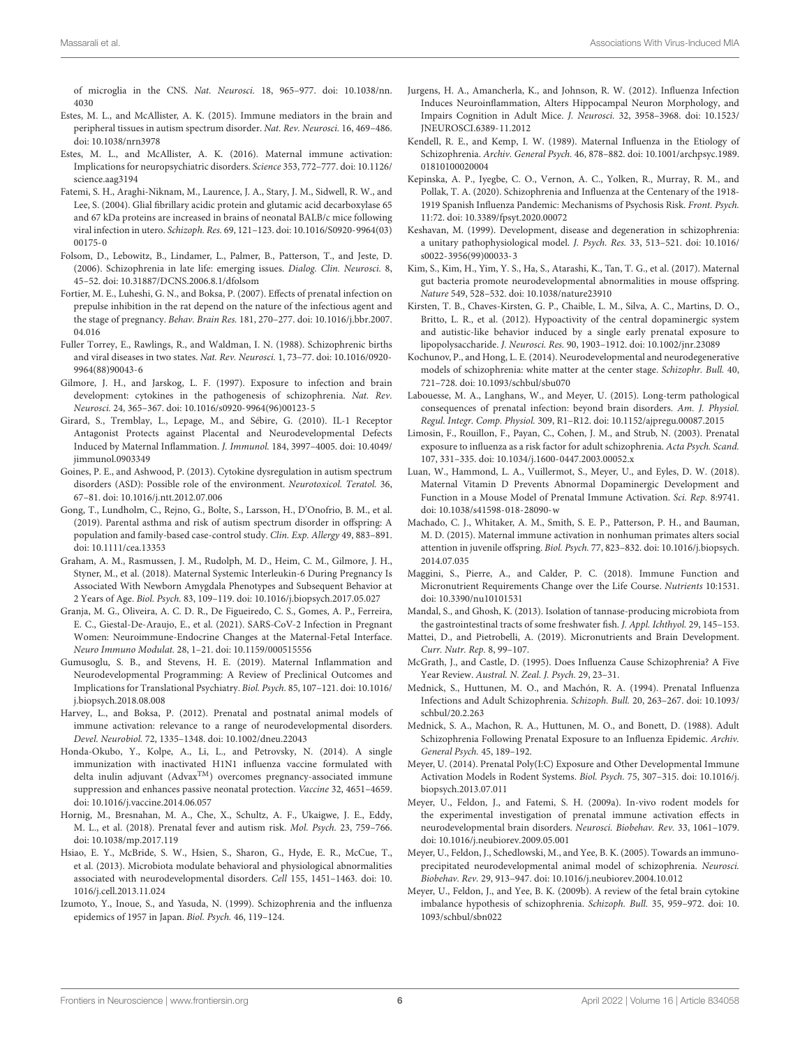of microglia in the CNS. Nat. Neurosci. 18, 965–977. [doi: 10.1038/nn.](https://doi.org/10.1038/nn.4030) [4030](https://doi.org/10.1038/nn.4030)

- <span id="page-5-2"></span>Estes, M. L., and McAllister, A. K. (2015). Immune mediators in the brain and peripheral tissues in autism spectrum disorder. Nat. Rev. Neurosci. 16, 469–486. [doi: 10.1038/nrn3978](https://doi.org/10.1038/nrn3978)
- <span id="page-5-3"></span>Estes, M. L., and McAllister, A. K. (2016). Maternal immune activation: Implications for neuropsychiatric disorders. Science 353, 772–777. [doi: 10.1126/](https://doi.org/10.1126/science.aag3194) [science.aag3194](https://doi.org/10.1126/science.aag3194)
- <span id="page-5-17"></span>Fatemi, S. H., Araghi-Niknam, M., Laurence, J. A., Stary, J. M., Sidwell, R. W., and Lee, S. (2004). Glial fibrillary acidic protein and glutamic acid decarboxylase 65 and 67 kDa proteins are increased in brains of neonatal BALB/c mice following viral infection in utero. Schizoph. Res. 69, 121–123. [doi: 10.1016/S0920-9964\(03\)](https://doi.org/10.1016/S0920-9964(03)00175-0) [00175-0](https://doi.org/10.1016/S0920-9964(03)00175-0)
- <span id="page-5-10"></span>Folsom, D., Lebowitz, B., Lindamer, L., Palmer, B., Patterson, T., and Jeste, D. (2006). Schizophrenia in late life: emerging issues. Dialog. Clin. Neurosci. 8, 45–52. [doi: 10.31887/DCNS.2006.8.1/dfolsom](https://doi.org/10.31887/DCNS.2006.8.1/dfolsom)
- <span id="page-5-22"></span>Fortier, M. E., Luheshi, G. N., and Boksa, P. (2007). Effects of prenatal infection on prepulse inhibition in the rat depend on the nature of the infectious agent and the stage of pregnancy. Behav. Brain Res. 181, 270–277. [doi: 10.1016/j.bbr.2007.](https://doi.org/10.1016/j.bbr.2007.04.016) [04.016](https://doi.org/10.1016/j.bbr.2007.04.016)
- <span id="page-5-13"></span>Fuller Torrey, E., Rawlings, R., and Waldman, I. N. (1988). Schizophrenic births and viral diseases in two states. Nat. Rev. Neurosci. 1, 73–77. [doi: 10.1016/0920-](https://doi.org/10.1016/0920-9964(88)90043-6) [9964\(88\)90043-6](https://doi.org/10.1016/0920-9964(88)90043-6)
- <span id="page-5-26"></span>Gilmore, J. H., and Jarskog, L. F. (1997). Exposure to infection and brain development: cytokines in the pathogenesis of schizophrenia. Nat. Rev. Neurosci. 24, 365–367. [doi: 10.1016/s0920-9964\(96\)00123-5](https://doi.org/10.1016/s0920-9964(96)00123-5)
- <span id="page-5-24"></span>Girard, S., Tremblay, L., Lepage, M., and Sébire, G. (2010). IL-1 Receptor Antagonist Protects against Placental and Neurodevelopmental Defects Induced by Maternal Inflammation. J. Immunol. 184, 3997–4005. [doi: 10.4049/](https://doi.org/10.4049/jimmunol.0903349) [jimmunol.0903349](https://doi.org/10.4049/jimmunol.0903349)
- <span id="page-5-23"></span>Goines, P. E., and Ashwood, P. (2013). Cytokine dysregulation in autism spectrum disorders (ASD): Possible role of the environment. Neurotoxicol. Teratol. 36, 67–81. [doi: 10.1016/j.ntt.2012.07.006](https://doi.org/10.1016/j.ntt.2012.07.006)
- <span id="page-5-1"></span>Gong, T., Lundholm, C., Rejno, G., Bolte, S., Larsson, H., D'Onofrio, B. M., et al. (2019). Parental asthma and risk of autism spectrum disorder in offspring: A population and family-based case-control study. Clin. Exp. Allergy 49, 883–891. [doi: 10.1111/cea.13353](https://doi.org/10.1111/cea.13353)
- <span id="page-5-28"></span>Graham, A. M., Rasmussen, J. M., Rudolph, M. D., Heim, C. M., Gilmore, J. H., Styner, M., et al. (2018). Maternal Systemic Interleukin-6 During Pregnancy Is Associated With Newborn Amygdala Phenotypes and Subsequent Behavior at 2 Years of Age. Biol. Psych. 83, 109–119. [doi: 10.1016/j.biopsych.2017.05.027](https://doi.org/10.1016/j.biopsych.2017.05.027)
- <span id="page-5-38"></span>Granja, M. G., Oliveira, A. C. D. R., De Figueiredo, C. S., Gomes, A. P., Ferreira, E. C., Giestal-De-Araujo, E., et al. (2021). SARS-CoV-2 Infection in Pregnant Women: Neuroimmune-Endocrine Changes at the Maternal-Fetal Interface. Neuro Immuno Modulat. 28, 1–21. [doi: 10.1159/000515556](https://doi.org/10.1159/000515556)
- <span id="page-5-29"></span>Gumusoglu, S. B., and Stevens, H. E. (2019). Maternal Inflammation and Neurodevelopmental Programming: A Review of Preclinical Outcomes and Implications for Translational Psychiatry. Biol. Psych. 85, 107–121. [doi: 10.1016/](https://doi.org/10.1016/j.biopsych.2018.08.008) [j.biopsych.2018.08.008](https://doi.org/10.1016/j.biopsych.2018.08.008)
- <span id="page-5-15"></span>Harvey, L., and Boksa, P. (2012). Prenatal and postnatal animal models of immune activation: relevance to a range of neurodevelopmental disorders. Devel. Neurobiol. 72, 1335–1348. [doi: 10.1002/dneu.22043](https://doi.org/10.1002/dneu.22043)
- <span id="page-5-19"></span>Honda-Okubo, Y., Kolpe, A., Li, L., and Petrovsky, N. (2014). A single immunization with inactivated H1N1 influenza vaccine formulated with delta inulin adjuvant (AdvaxTM) overcomes pregnancy-associated immune suppression and enhances passive neonatal protection. Vaccine 32, 4651–4659. [doi: 10.1016/j.vaccine.2014.06.057](https://doi.org/10.1016/j.vaccine.2014.06.057)
- <span id="page-5-32"></span>Hornig, M., Bresnahan, M. A., Che, X., Schultz, A. F., Ukaigwe, J. E., Eddy, M. L., et al. (2018). Prenatal fever and autism risk. Mol. Psych. 23, 759–766. [doi: 10.1038/mp.2017.119](https://doi.org/10.1038/mp.2017.119)
- <span id="page-5-35"></span>Hsiao, E. Y., McBride, S. W., Hsien, S., Sharon, G., Hyde, E. R., McCue, T., et al. (2013). Microbiota modulate behavioral and physiological abnormalities associated with neurodevelopmental disorders. Cell 155, 1451–1463. [doi: 10.](https://doi.org/10.1016/j.cell.2013.11.024) [1016/j.cell.2013.11.024](https://doi.org/10.1016/j.cell.2013.11.024)
- <span id="page-5-7"></span>Izumoto, Y., Inoue, S., and Yasuda, N. (1999). Schizophrenia and the influenza epidemics of 1957 in Japan. Biol. Psych. 46, 119–124.
- <span id="page-5-18"></span>Jurgens, H. A., Amancherla, K., and Johnson, R. W. (2012). Influenza Infection Induces Neuroinflammation, Alters Hippocampal Neuron Morphology, and Impairs Cognition in Adult Mice. J. Neurosci. 32, 3958–3968. [doi: 10.1523/](https://doi.org/10.1523/JNEUROSCI.6389-11.2012) [JNEUROSCI.6389-11.2012](https://doi.org/10.1523/JNEUROSCI.6389-11.2012)
- <span id="page-5-5"></span>Kendell, R. E., and Kemp, I. W. (1989). Maternal Influenza in the Etiology of Schizophrenia. Archiv. General Psych. 46, 878–882. [doi: 10.1001/archpsyc.1989.](https://doi.org/10.1001/archpsyc.1989.01810100020004) [01810100020004](https://doi.org/10.1001/archpsyc.1989.01810100020004)
- <span id="page-5-0"></span>Kepinska, A. P., Iyegbe, C. O., Vernon, A. C., Yolken, R., Murray, R. M., and Pollak, T. A. (2020). Schizophrenia and Influenza at the Centenary of the 1918- 1919 Spanish Influenza Pandemic: Mechanisms of Psychosis Risk. Front. Psych. 11:72. [doi: 10.3389/fpsyt.2020.00072](https://doi.org/10.3389/fpsyt.2020.00072)
- <span id="page-5-12"></span>Keshavan, M. (1999). Development, disease and degeneration in schizophrenia: a unitary pathophysiological model. J. Psych. Res. 33, 513–521. [doi: 10.1016/](https://doi.org/10.1016/s0022-3956(99)00033-3) [s0022-3956\(99\)00033-3](https://doi.org/10.1016/s0022-3956(99)00033-3)
- <span id="page-5-37"></span>Kim, S., Kim, H., Yim, Y. S., Ha, S., Atarashi, K., Tan, T. G., et al. (2017). Maternal gut bacteria promote neurodevelopmental abnormalities in mouse offspring. Nature 549, 528–532. [doi: 10.1038/nature23910](https://doi.org/10.1038/nature23910)
- <span id="page-5-31"></span>Kirsten, T. B., Chaves-Kirsten, G. P., Chaible, L. M., Silva, A. C., Martins, D. O., Britto, L. R., et al. (2012). Hypoactivity of the central dopaminergic system and autistic-like behavior induced by a single early prenatal exposure to lipopolysaccharide. J. Neurosci. Res. 90, 1903–1912. [doi: 10.1002/jnr.23089](https://doi.org/10.1002/jnr.23089)
- <span id="page-5-11"></span>Kochunov, P., and Hong, L. E. (2014). Neurodevelopmental and neurodegenerative models of schizophrenia: white matter at the center stage. Schizophr. Bull. 40, 721–728. [doi: 10.1093/schbul/sbu070](https://doi.org/10.1093/schbul/sbu070)
- <span id="page-5-27"></span>Labouesse, M. A., Langhans, W., and Meyer, U. (2015). Long-term pathological consequences of prenatal infection: beyond brain disorders. Am. J. Physiol. Regul. Integr. Comp. Physiol. 309, R1–R12. [doi: 10.1152/ajpregu.00087.2015](https://doi.org/10.1152/ajpregu.00087.2015)
- <span id="page-5-9"></span>Limosin, F., Rouillon, F., Payan, C., Cohen, J. M., and Strub, N. (2003). Prenatal exposure to influenza as a risk factor for adult schizophrenia. Acta Psych. Scand. 107, 331–335. [doi: 10.1034/j.1600-0447.2003.00052.x](https://doi.org/10.1034/j.1600-0447.2003.00052.x)
- <span id="page-5-30"></span>Luan, W., Hammond, L. A., Vuillermot, S., Meyer, U., and Eyles, D. W. (2018). Maternal Vitamin D Prevents Abnormal Dopaminergic Development and Function in a Mouse Model of Prenatal Immune Activation. Sci. Rep. 8:9741. [doi: 10.1038/s41598-018-28090-w](https://doi.org/10.1038/s41598-018-28090-w)
- <span id="page-5-21"></span>Machado, C. J., Whitaker, A. M., Smith, S. E. P., Patterson, P. H., and Bauman, M. D. (2015). Maternal immune activation in nonhuman primates alters social attention in juvenile offspring. Biol. Psych. 77, 823–832. [doi: 10.1016/j.biopsych.](https://doi.org/10.1016/j.biopsych.2014.07.035) [2014.07.035](https://doi.org/10.1016/j.biopsych.2014.07.035)
- <span id="page-5-33"></span>Maggini, S., Pierre, A., and Calder, P. C. (2018). Immune Function and Micronutrient Requirements Change over the Life Course. Nutrients 10:1531. [doi: 10.3390/nu10101531](https://doi.org/10.3390/nu10101531)
- <span id="page-5-36"></span>Mandal, S., and Ghosh, K. (2013). Isolation of tannase-producing microbiota from the gastrointestinal tracts of some freshwater fish. J. Appl. Ichthyol. 29, 145–153.
- <span id="page-5-34"></span>Mattei, D., and Pietrobelli, A. (2019). Micronutrients and Brain Development. Curr. Nutr. Rep. 8, 99–107.
- <span id="page-5-6"></span>McGrath, J., and Castle, D. (1995). Does Influenza Cause Schizophrenia? A Five Year Review. Austral. N. Zeal. J. Psych. 29, 23–31.
- <span id="page-5-8"></span>Mednick, S., Huttunen, M. O., and Machón, R. A. (1994). Prenatal Influenza Infections and Adult Schizophrenia. Schizoph. Bull. 20, 263–267. [doi: 10.1093/](https://doi.org/10.1093/schbul/20.2.263) [schbul/20.2.263](https://doi.org/10.1093/schbul/20.2.263)
- <span id="page-5-4"></span>Mednick, S. A., Machon, R. A., Huttunen, M. O., and Bonett, D. (1988). Adult Schizophrenia Following Prenatal Exposure to an Influenza Epidemic. Archiv. General Psych. 45, 189–192.
- <span id="page-5-16"></span>Meyer, U. (2014). Prenatal Poly(I:C) Exposure and Other Developmental Immune Activation Models in Rodent Systems. Biol. Psych. 75, 307–315. [doi: 10.1016/j.](https://doi.org/10.1016/j.biopsych.2013.07.011) [biopsych.2013.07.011](https://doi.org/10.1016/j.biopsych.2013.07.011)
- <span id="page-5-14"></span>Meyer, U., Feldon, J., and Fatemi, S. H. (2009a). In-vivo rodent models for the experimental investigation of prenatal immune activation effects in neurodevelopmental brain disorders. Neurosci. Biobehav. Rev. 33, 1061–1079. [doi: 10.1016/j.neubiorev.2009.05.001](https://doi.org/10.1016/j.neubiorev.2009.05.001)
- <span id="page-5-20"></span>Meyer, U., Feldon, J., Schedlowski, M., and Yee, B. K. (2005). Towards an immunoprecipitated neurodevelopmental animal model of schizophrenia. Neurosci. Biobehav. Rev. 29, 913–947. [doi: 10.1016/j.neubiorev.2004.10.012](https://doi.org/10.1016/j.neubiorev.2004.10.012)
- <span id="page-5-25"></span>Meyer, U., Feldon, J., and Yee, B. K. (2009b). A review of the fetal brain cytokine imbalance hypothesis of schizophrenia. Schizoph. Bull. 35, 959–972. [doi: 10.](https://doi.org/10.1093/schbul/sbn022) [1093/schbul/sbn022](https://doi.org/10.1093/schbul/sbn022)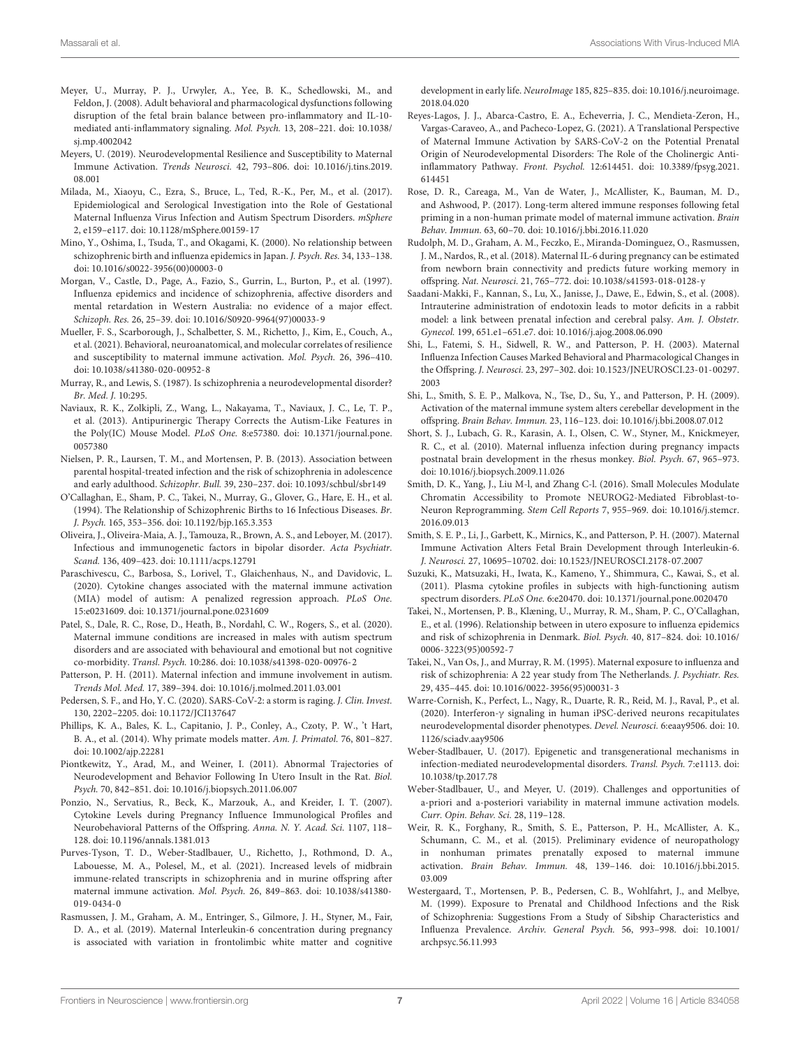- <span id="page-6-35"></span>Meyer, U., Murray, P. J., Urwyler, A., Yee, B. K., Schedlowski, M., and Feldon, J. (2008). Adult behavioral and pharmacological dysfunctions following disruption of the fetal brain balance between pro-inflammatory and IL-10 mediated anti-inflammatory signaling. Mol. Psych. 13, 208–221. [doi: 10.1038/](https://doi.org/10.1038/sj.mp.4002042) [sj.mp.4002042](https://doi.org/10.1038/sj.mp.4002042)
- <span id="page-6-25"></span>Meyers, U. (2019). Neurodevelopmental Resilience and Susceptibility to Maternal Immune Activation. Trends Neurosci. 42, 793–806. [doi: 10.1016/j.tins.2019.](https://doi.org/10.1016/j.tins.2019.08.001) [08.001](https://doi.org/10.1016/j.tins.2019.08.001)
- <span id="page-6-29"></span>Milada, M., Xiaoyu, C., Ezra, S., Bruce, L., Ted, R.-K., Per, M., et al. (2017). Epidemiological and Serological Investigation into the Role of Gestational Maternal Influenza Virus Infection and Autism Spectrum Disorders. mSphere 2, e159–e117. [doi: 10.1128/mSphere.00159-17](https://doi.org/10.1128/mSphere.00159-17)
- <span id="page-6-7"></span>Mino, Y., Oshima, I., Tsuda, T., and Okagami, K. (2000). No relationship between schizophrenic birth and influenza epidemics in Japan. J. Psych. Res. 34, 133–138. [doi: 10.1016/s0022-3956\(00\)00003-0](https://doi.org/10.1016/s0022-3956(00)00003-0)
- <span id="page-6-6"></span>Morgan, V., Castle, D., Page, A., Fazio, S., Gurrin, L., Burton, P., et al. (1997). Influenza epidemics and incidence of schizophrenia, affective disorders and mental retardation in Western Australia: no evidence of a major effect. Schizoph. Res. 26, 25–39. [doi: 10.1016/S0920-9964\(97\)00033-9](https://doi.org/10.1016/S0920-9964(97)00033-9)
- <span id="page-6-3"></span>Mueller, F. S., Scarborough, J., Schalbetter, S. M., Richetto, J., Kim, E., Couch, A., et al. (2021). Behavioral, neuroanatomical, and molecular correlates of resilience and susceptibility to maternal immune activation. Mol. Psych. 26, 396–410. [doi: 10.1038/s41380-020-00952-8](https://doi.org/10.1038/s41380-020-00952-8)
- <span id="page-6-11"></span>Murray, R., and Lewis, S. (1987). Is schizophrenia a neurodevelopmental disorder? Br. Med. J. 10:295.
- <span id="page-6-20"></span>Naviaux, R. K., Zolkipli, Z., Wang, L., Nakayama, T., Naviaux, J. C., Le, T. P., et al. (2013). Antipurinergic Therapy Corrects the Autism-Like Features in the Poly(IC) Mouse Model. PLoS One. 8:e57380. [doi: 10.1371/journal.pone.](https://doi.org/10.1371/journal.pone.0057380) [0057380](https://doi.org/10.1371/journal.pone.0057380)
- <span id="page-6-34"></span>Nielsen, P. R., Laursen, T. M., and Mortensen, P. B. (2013). Association between parental hospital-treated infection and the risk of schizophrenia in adolescence and early adulthood. Schizophr. Bull. 39, 230–237. [doi: 10.1093/schbul/sbr149](https://doi.org/10.1093/schbul/sbr149)
- <span id="page-6-12"></span>O'Callaghan, E., Sham, P. C., Takei, N., Murray, G., Glover, G., Hare, E. H., et al. (1994). The Relationship of Schizophrenic Births to 16 Infectious Diseases. Br. J. Psych. 165, 353–356. [doi: 10.1192/bjp.165.3.353](https://doi.org/10.1192/bjp.165.3.353)
- <span id="page-6-13"></span>Oliveira, J., Oliveira-Maia, A. J., Tamouza, R., Brown, A. S., and Leboyer, M. (2017). Infectious and immunogenetic factors in bipolar disorder. Acta Psychiatr. Scand. 136, 409–423. [doi: 10.1111/acps.12791](https://doi.org/10.1111/acps.12791)
- <span id="page-6-0"></span>Paraschivescu, C., Barbosa, S., Lorivel, T., Glaichenhaus, N., and Davidovic, L. (2020). Cytokine changes associated with the maternal immune activation (MIA) model of autism: A penalized regression approach. PLoS One. 15:e0231609. [doi: 10.1371/journal.pone.0231609](https://doi.org/10.1371/journal.pone.0231609)
- <span id="page-6-2"></span>Patel, S., Dale, R. C., Rose, D., Heath, B., Nordahl, C. W., Rogers, S., et al. (2020). Maternal immune conditions are increased in males with autism spectrum disorders and are associated with behavioural and emotional but not cognitive co-morbidity. Transl. Psych. 10:286. [doi: 10.1038/s41398-020-00976-2](https://doi.org/10.1038/s41398-020-00976-2)
- <span id="page-6-4"></span>Patterson, P. H. (2011). Maternal infection and immune involvement in autism. Trends Mol. Med. 17, 389–394. [doi: 10.1016/j.molmed.2011.03.001](https://doi.org/10.1016/j.molmed.2011.03.001)
- <span id="page-6-36"></span>Pedersen, S. F., and Ho, Y. C. (2020). SARS-CoV-2: a storm is raging. J. Clin. Invest. 130, 2202–2205. [doi: 10.1172/JCI137647](https://doi.org/10.1172/JCI137647)
- <span id="page-6-26"></span>Phillips, K. A., Bales, K. L., Capitanio, J. P., Conley, A., Czoty, P. W., 't Hart, B. A., et al. (2014). Why primate models matter. Am. J. Primatol. 76, 801–827. [doi: 10.1002/ajp.22281](https://doi.org/10.1002/ajp.22281)
- <span id="page-6-18"></span>Piontkewitz, Y., Arad, M., and Weiner, I. (2011). Abnormal Trajectories of Neurodevelopment and Behavior Following In Utero Insult in the Rat. Biol. Psych. 70, 842–851. [doi: 10.1016/j.biopsych.2011.06.007](https://doi.org/10.1016/j.biopsych.2011.06.007)
- <span id="page-6-23"></span>Ponzio, N., Servatius, R., Beck, K., Marzouk, A., and Kreider, I. T. (2007). Cytokine Levels during Pregnancy Influence Immunological Profiles and Neurobehavioral Patterns of the Offspring. Anna. N. Y. Acad. Sci. 1107, 118– 128. [doi: 10.1196/annals.1381.013](https://doi.org/10.1196/annals.1381.013)
- <span id="page-6-1"></span>Purves-Tyson, T. D., Weber-Stadlbauer, U., Richetto, J., Rothmond, D. A., Labouesse, M. A., Polesel, M., et al. (2021). Increased levels of midbrain immune-related transcripts in schizophrenia and in murine offspring after maternal immune activation. Mol. Psych. 26, 849–863. [doi: 10.1038/s41380-](https://doi.org/10.1038/s41380-019-0434-0) [019-0434-0](https://doi.org/10.1038/s41380-019-0434-0)
- <span id="page-6-32"></span>Rasmussen, J. M., Graham, A. M., Entringer, S., Gilmore, J. H., Styner, M., Fair, D. A., et al. (2019). Maternal Interleukin-6 concentration during pregnancy is associated with variation in frontolimbic white matter and cognitive

development in early life. NeuroImage 185, 825–835. [doi: 10.1016/j.neuroimage.](https://doi.org/10.1016/j.neuroimage.2018.04.020) [2018.04.020](https://doi.org/10.1016/j.neuroimage.2018.04.020)

- <span id="page-6-5"></span>Reyes-Lagos, J. J., Abarca-Castro, E. A., Echeverria, J. C., Mendieta-Zeron, H., Vargas-Caraveo, A., and Pacheco-Lopez, G. (2021). A Translational Perspective of Maternal Immune Activation by SARS-CoV-2 on the Potential Prenatal Origin of Neurodevelopmental Disorders: The Role of the Cholinergic Antiinflammatory Pathway. Front. Psychol. 12:614451. [doi: 10.3389/fpsyg.2021.](https://doi.org/10.3389/fpsyg.2021.614451) [614451](https://doi.org/10.3389/fpsyg.2021.614451)
- <span id="page-6-17"></span>Rose, D. R., Careaga, M., Van de Water, J., McAllister, K., Bauman, M. D., and Ashwood, P. (2017). Long-term altered immune responses following fetal priming in a non-human primate model of maternal immune activation. Brain Behav. Immun. 63, 60–70. [doi: 10.1016/j.bbi.2016.11.020](https://doi.org/10.1016/j.bbi.2016.11.020)
- <span id="page-6-31"></span>Rudolph, M. D., Graham, A. M., Feczko, E., Miranda-Dominguez, O., Rasmussen, J. M., Nardos, R., et al. (2018). Maternal IL-6 during pregnancy can be estimated from newborn brain connectivity and predicts future working memory in offspring. Nat. Neurosci. 21, 765–772. [doi: 10.1038/s41593-018-0128-y](https://doi.org/10.1038/s41593-018-0128-y)
- <span id="page-6-15"></span>Saadani-Makki, F., Kannan, S., Lu, X., Janisse, J., Dawe, E., Edwin, S., et al. (2008). Intrauterine administration of endotoxin leads to motor deficits in a rabbit model: a link between prenatal infection and cerebral palsy. Am. J. Obstetr. Gynecol. 199, 651.e1–651.e7. [doi: 10.1016/j.ajog.2008.06.090](https://doi.org/10.1016/j.ajog.2008.06.090)
- <span id="page-6-14"></span>Shi, L., Fatemi, S. H., Sidwell, R. W., and Patterson, P. H. (2003). Maternal Influenza Infection Causes Marked Behavioral and Pharmacological Changes in the Offspring. J. Neurosci. 23, 297–302. [doi: 10.1523/JNEUROSCI.23-01-00297.](https://doi.org/10.1523/JNEUROSCI.23-01-00297.2003) [2003](https://doi.org/10.1523/JNEUROSCI.23-01-00297.2003)
- <span id="page-6-19"></span>Shi, L., Smith, S. E. P., Malkova, N., Tse, D., Su, Y., and Patterson, P. H. (2009). Activation of the maternal immune system alters cerebellar development in the offspring. Brain Behav. Immun. 23, 116–123. [doi: 10.1016/j.bbi.2008.07.012](https://doi.org/10.1016/j.bbi.2008.07.012)
- <span id="page-6-27"></span>Short, S. J., Lubach, G. R., Karasin, A. I., Olsen, C. W., Styner, M., Knickmeyer, R. C., et al. (2010). Maternal influenza infection during pregnancy impacts postnatal brain development in the rhesus monkey. Biol. Psych. 67, 965–973. [doi: 10.1016/j.biopsych.2009.11.026](https://doi.org/10.1016/j.biopsych.2009.11.026)
- <span id="page-6-21"></span>Smith, D. K., Yang, J., Liu M-l, and Zhang C-l. (2016). Small Molecules Modulate Chromatin Accessibility to Promote NEUROG2-Mediated Fibroblast-to-Neuron Reprogramming. Stem Cell Reports 7, 955–969. [doi: 10.1016/j.stemcr.](https://doi.org/10.1016/j.stemcr.2016.09.013) [2016.09.013](https://doi.org/10.1016/j.stemcr.2016.09.013)
- <span id="page-6-22"></span>Smith, S. E. P., Li, J., Garbett, K., Mirnics, K., and Patterson, P. H. (2007). Maternal Immune Activation Alters Fetal Brain Development through Interleukin-6. J. Neurosci. 27, 10695–10702. [doi: 10.1523/JNEUROSCI.2178-07.2007](https://doi.org/10.1523/JNEUROSCI.2178-07.2007)
- <span id="page-6-24"></span>Suzuki, K., Matsuzaki, H., Iwata, K., Kameno, Y., Shimmura, C., Kawai, S., et al. (2011). Plasma cytokine profiles in subjects with high-functioning autism spectrum disorders. PLoS One. 6:e20470. [doi: 10.1371/journal.pone.0020470](https://doi.org/10.1371/journal.pone.0020470)
- <span id="page-6-8"></span>Takei, N., Mortensen, P. B., Klæning, U., Murray, R. M., Sham, P. C., O'Callaghan, E., et al. (1996). Relationship between in utero exposure to influenza epidemics and risk of schizophrenia in Denmark. Biol. Psych. 40, 817–824. [doi: 10.1016/](https://doi.org/10.1016/0006-3223(95)00592-7) [0006-3223\(95\)00592-7](https://doi.org/10.1016/0006-3223(95)00592-7)
- <span id="page-6-9"></span>Takei, N., Van Os, J., and Murray, R. M. (1995). Maternal exposure to influenza and risk of schizophrenia: A 22 year study from The Netherlands. J. Psychiatr. Res. 29, 435–445. [doi: 10.1016/0022-3956\(95\)00031-3](https://doi.org/10.1016/0022-3956(95)00031-3)
- <span id="page-6-28"></span>Warre-Cornish, K., Perfect, L., Nagy, R., Duarte, R. R., Reid, M. J., Raval, P., et al. (2020). Interferon-γ signaling in human iPSC-derived neurons recapitulates neurodevelopmental disorder phenotypes. Devel. Neurosci. 6:eaay9506. [doi: 10.](https://doi.org/10.1126/sciadv.aay9506) [1126/sciadv.aay9506](https://doi.org/10.1126/sciadv.aay9506)
- <span id="page-6-30"></span>Weber-Stadlbauer, U. (2017). Epigenetic and transgenerational mechanisms in infection-mediated neurodevelopmental disorders. Transl. Psych. 7:e1113. [doi:](https://doi.org/10.1038/tp.2017.78) [10.1038/tp.2017.78](https://doi.org/10.1038/tp.2017.78)
- <span id="page-6-33"></span>Weber-Stadlbauer, U., and Meyer, U. (2019). Challenges and opportunities of a-priori and a-posteriori variability in maternal immune activation models. Curr. Opin. Behav. Sci. 28, 119–128.
- <span id="page-6-16"></span>Weir, R. K., Forghany, R., Smith, S. E., Patterson, P. H., McAllister, A. K., Schumann, C. M., et al. (2015). Preliminary evidence of neuropathology in nonhuman primates prenatally exposed to maternal immune activation. Brain Behav. Immun. 48, 139–146. [doi: 10.1016/j.bbi.2015.](https://doi.org/10.1016/j.bbi.2015.03.009) [03.009](https://doi.org/10.1016/j.bbi.2015.03.009)
- <span id="page-6-10"></span>Westergaard, T., Mortensen, P. B., Pedersen, C. B., Wohlfahrt, J., and Melbye, M. (1999). Exposure to Prenatal and Childhood Infections and the Risk of Schizophrenia: Suggestions From a Study of Sibship Characteristics and Influenza Prevalence. Archiv. General Psych. 56, 993–998. [doi: 10.1001/](https://doi.org/10.1001/archpsyc.56.11.993) [archpsyc.56.11.993](https://doi.org/10.1001/archpsyc.56.11.993)